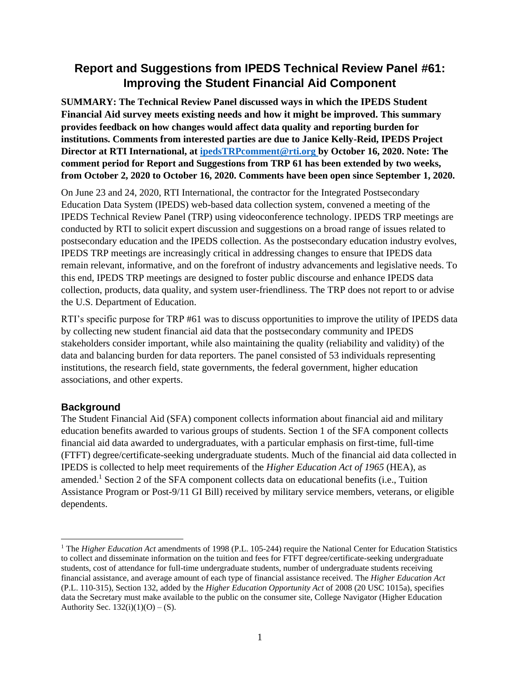# **Report and Suggestions from IPEDS Technical Review Panel #61: Improving the Student Financial Aid Component**

**SUMMARY: The Technical Review Panel discussed ways in which the IPEDS Student Financial Aid survey meets existing needs and how it might be improved. This summary provides feedback on how changes would affect data quality and reporting burden for institutions. Comments from interested parties are due to Janice Kelly-Reid, IPEDS Project Director at RTI International, at [ipedsTRPcomment@rti.org](mailto:ipedsTRPcomment@rti.org) by October 16, 2020. Note: The comment period for Report and Suggestions from TRP 61 has been extended by two weeks, from October 2, 2020 to October 16, 2020. Comments have been open since September 1, 2020.**

On June 23 and 24, 2020, RTI International, the contractor for the Integrated Postsecondary Education Data System (IPEDS) web-based data collection system, convened a meeting of the IPEDS Technical Review Panel (TRP) using videoconference technology. IPEDS TRP meetings are conducted by RTI to solicit expert discussion and suggestions on a broad range of issues related to postsecondary education and the IPEDS collection. As the postsecondary education industry evolves, IPEDS TRP meetings are increasingly critical in addressing changes to ensure that IPEDS data remain relevant, informative, and on the forefront of industry advancements and legislative needs. To this end, IPEDS TRP meetings are designed to foster public discourse and enhance IPEDS data collection, products, data quality, and system user-friendliness. The TRP does not report to or advise the U.S. Department of Education.

RTI's specific purpose for TRP #61 was to discuss opportunities to improve the utility of IPEDS data by collecting new student financial aid data that the postsecondary community and IPEDS stakeholders consider important, while also maintaining the quality (reliability and validity) of the data and balancing burden for data reporters. The panel consisted of 53 individuals representing institutions, the research field, state governments, the federal government, higher education associations, and other experts.

#### **Background**

The Student Financial Aid (SFA) component collects information about financial aid and military education benefits awarded to various groups of students. Section 1 of the SFA component collects financial aid data awarded to undergraduates, with a particular emphasis on first-time, full-time (FTFT) degree/certificate-seeking undergraduate students. Much of the financial aid data collected in IPEDS is collected to help meet requirements of the *Higher Education Act of 1965* (HEA), as amended.<sup>1</sup> Section 2 of the SFA component collects data on educational benefits (i.e., Tuition Assistance Program or Post-9/11 GI Bill) received by military service members, veterans, or eligible dependents.

<sup>&</sup>lt;sup>1</sup> The *Higher Education Act* amendments of 1998 (P.L. 105-244) require the National Center for Education Statistics to collect and disseminate information on the tuition and fees for FTFT degree/certificate-seeking undergraduate students, cost of attendance for full-time undergraduate students, number of undergraduate students receiving financial assistance, and average amount of each type of financial assistance received. The *Higher Education Act* (P.L. 110-315), Section 132, added by the *Higher Education Opportunity Act* of 2008 (20 USC 1015a), specifies data the Secretary must make available to the public on the consumer site, College Navigator (Higher Education Authority Sec.  $132(i)(1)(O) - (S)$ .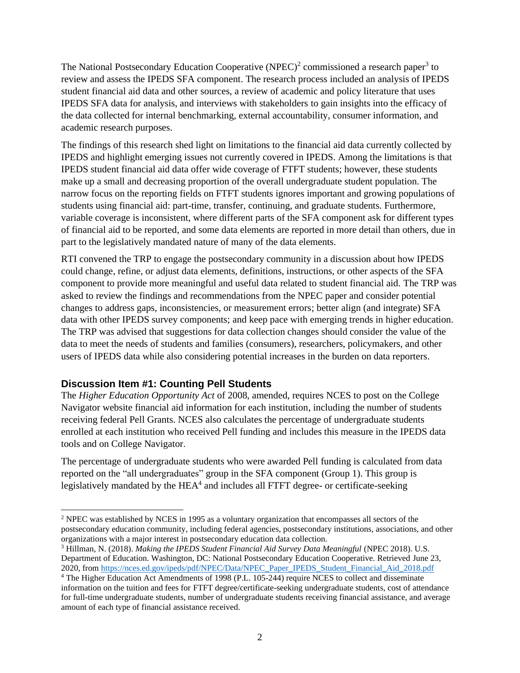The National Postsecondary Education Cooperative (NPEC)<sup>2</sup> commissioned a research paper<sup>3</sup> to review and assess the IPEDS SFA component. The research process included an analysis of IPEDS student financial aid data and other sources, a review of academic and policy literature that uses IPEDS SFA data for analysis, and interviews with stakeholders to gain insights into the efficacy of the data collected for internal benchmarking, external accountability, consumer information, and academic research purposes.

The findings of this research shed light on limitations to the financial aid data currently collected by IPEDS and highlight emerging issues not currently covered in IPEDS. Among the limitations is that IPEDS student financial aid data offer wide coverage of FTFT students; however, these students make up a small and decreasing proportion of the overall undergraduate student population. The narrow focus on the reporting fields on FTFT students ignores important and growing populations of students using financial aid: part-time, transfer, continuing, and graduate students. Furthermore, variable coverage is inconsistent, where different parts of the SFA component ask for different types of financial aid to be reported, and some data elements are reported in more detail than others, due in part to the legislatively mandated nature of many of the data elements.

RTI convened the TRP to engage the postsecondary community in a discussion about how IPEDS could change, refine, or adjust data elements, definitions, instructions, or other aspects of the SFA component to provide more meaningful and useful data related to student financial aid. The TRP was asked to review the findings and recommendations from the NPEC paper and consider potential changes to address gaps, inconsistencies, or measurement errors; better align (and integrate) SFA data with other IPEDS survey components; and keep pace with emerging trends in higher education. The TRP was advised that suggestions for data collection changes should consider the value of the data to meet the needs of students and families (consumers), researchers, policymakers, and other users of IPEDS data while also considering potential increases in the burden on data reporters.

#### **Discussion Item #1: Counting Pell Students**

The *Higher Education Opportunity Act* of 2008, amended, requires NCES to post on the College Navigator website financial aid information for each institution, including the number of students receiving federal Pell Grants. NCES also calculates the percentage of undergraduate students enrolled at each institution who received Pell funding and includes this measure in the IPEDS data tools and on College Navigator.

The percentage of undergraduate students who were awarded Pell funding is calculated from data reported on the "all undergraduates" group in the SFA component (Group 1). This group is legislatively mandated by the  $HEA<sup>4</sup>$  and includes all FTFT degree- or certificate-seeking

<sup>2</sup> NPEC was established by NCES in 1995 as a voluntary organization that encompasses all sectors of the postsecondary education community, including federal agencies, postsecondary institutions, associations, and other organizations with a major interest in postsecondary education data collection.

<sup>3</sup> Hillman, N. (2018). *Making the IPEDS Student Financial Aid Survey Data Meaningful* (NPEC 2018). U.S. Department of Education. Washington, DC: National Postsecondary Education Cooperative. Retrieved June 23, 2020, from [https://nces.ed.gov/ipeds/pdf/NPEC/Data/NPEC\\_Paper\\_IPEDS\\_Student\\_Financial\\_Aid\\_2018.pdf](https://nces.ed.gov/ipeds/pdf/NPEC/Data/NPEC_Paper_IPEDS_Student_Financial_Aid_2018.pdf)

<sup>4</sup> The Higher Education Act Amendments of 1998 (P.L. 105-244) require NCES to collect and disseminate information on the tuition and fees for FTFT degree/certificate-seeking undergraduate students, cost of attendance for full-time undergraduate students, number of undergraduate students receiving financial assistance, and average amount of each type of financial assistance received.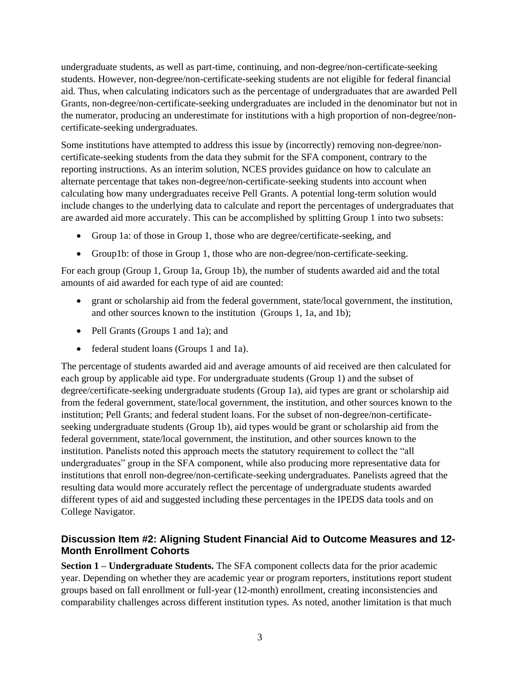undergraduate students, as well as part-time, continuing, and non-degree/non-certificate-seeking students. However, non-degree/non-certificate-seeking students are not eligible for federal financial aid. Thus, when calculating indicators such as the percentage of undergraduates that are awarded Pell Grants, non-degree/non-certificate-seeking undergraduates are included in the denominator but not in the numerator, producing an underestimate for institutions with a high proportion of non-degree/noncertificate-seeking undergraduates.

Some institutions have attempted to address this issue by (incorrectly) removing non-degree/noncertificate-seeking students from the data they submit for the SFA component, contrary to the reporting instructions. As an interim solution, NCES provides guidance on how to calculate an alternate percentage that takes non-degree/non-certificate-seeking students into account when calculating how many undergraduates receive Pell Grants. A potential long-term solution would include changes to the underlying data to calculate and report the percentages of undergraduates that are awarded aid more accurately. This can be accomplished by splitting Group 1 into two subsets:

- Group 1a: of those in Group 1, those who are degree/certificate-seeking, and
- Group1b: of those in Group 1, those who are non-degree/non-certificate-seeking.

For each group (Group 1, Group 1a, Group 1b), the number of students awarded aid and the total amounts of aid awarded for each type of aid are counted:

- grant or scholarship aid from the federal government, state/local government, the institution, and other sources known to the institution (Groups 1, 1a, and 1b);
- Pell Grants (Groups 1 and 1a); and
- federal student loans (Groups 1 and 1a).

The percentage of students awarded aid and average amounts of aid received are then calculated for each group by applicable aid type. For undergraduate students (Group 1) and the subset of degree/certificate-seeking undergraduate students (Group 1a), aid types are grant or scholarship aid from the federal government, state/local government, the institution, and other sources known to the institution; Pell Grants; and federal student loans. For the subset of non-degree/non-certificateseeking undergraduate students (Group 1b), aid types would be grant or scholarship aid from the federal government, state/local government, the institution, and other sources known to the institution. Panelists noted this approach meets the statutory requirement to collect the "all undergraduates" group in the SFA component, while also producing more representative data for institutions that enroll non-degree/non-certificate-seeking undergraduates. Panelists agreed that the resulting data would more accurately reflect the percentage of undergraduate students awarded different types of aid and suggested including these percentages in the IPEDS data tools and on College Navigator.

### **Discussion Item #2: Aligning Student Financial Aid to Outcome Measures and 12- Month Enrollment Cohorts**

**Section 1 – Undergraduate Students.** The SFA component collects data for the prior academic year. Depending on whether they are academic year or program reporters, institutions report student groups based on fall enrollment or full-year (12-month) enrollment, creating inconsistencies and comparability challenges across different institution types. As noted, another limitation is that much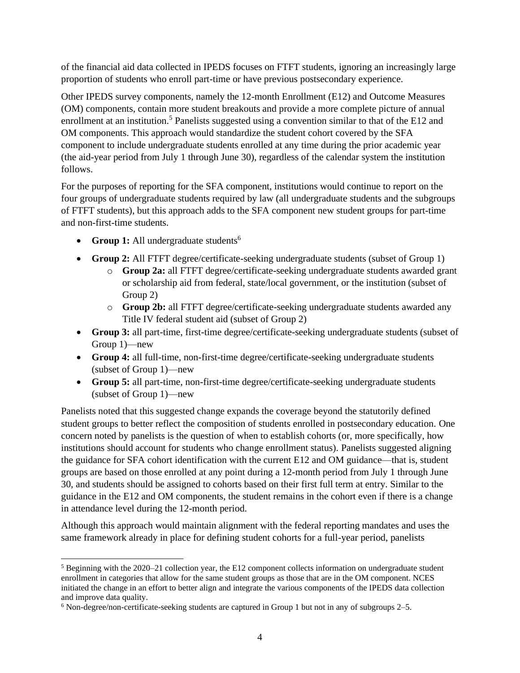of the financial aid data collected in IPEDS focuses on FTFT students, ignoring an increasingly large proportion of students who enroll part-time or have previous postsecondary experience.

Other IPEDS survey components, namely the 12-month Enrollment (E12) and Outcome Measures (OM) components, contain more student breakouts and provide a more complete picture of annual enrollment at an institution.<sup>5</sup> Panelists suggested using a convention similar to that of the E12 and OM components. This approach would standardize the student cohort covered by the SFA component to include undergraduate students enrolled at any time during the prior academic year (the aid-year period from July 1 through June 30), regardless of the calendar system the institution follows.

For the purposes of reporting for the SFA component, institutions would continue to report on the four groups of undergraduate students required by law (all undergraduate students and the subgroups of FTFT students), but this approach adds to the SFA component new student groups for part-time and non-first-time students.

- **Group 1:** All undergraduate students<sup>6</sup>
- **Group 2:** All FTFT degree/certificate-seeking undergraduate students (subset of Group 1)
	- o **Group 2a:** all FTFT degree/certificate-seeking undergraduate students awarded grant or scholarship aid from federal, state/local government, or the institution (subset of Group 2)
	- o **Group 2b:** all FTFT degree/certificate-seeking undergraduate students awarded any Title IV federal student aid (subset of Group 2)
- **Group 3:** all part-time, first-time degree/certificate-seeking undergraduate students (subset of Group 1)—new
- **Group 4:** all full-time, non-first-time degree/certificate-seeking undergraduate students (subset of Group 1)—new
- **Group 5:** all part-time, non-first-time degree/certificate-seeking undergraduate students (subset of Group 1)—new

Panelists noted that this suggested change expands the coverage beyond the statutorily defined student groups to better reflect the composition of students enrolled in postsecondary education. One concern noted by panelists is the question of when to establish cohorts (or, more specifically, how institutions should account for students who change enrollment status). Panelists suggested aligning the guidance for SFA cohort identification with the current E12 and OM guidance—that is, student groups are based on those enrolled at any point during a 12-month period from July 1 through June 30, and students should be assigned to cohorts based on their first full term at entry. Similar to the guidance in the E12 and OM components, the student remains in the cohort even if there is a change in attendance level during the 12-month period.

Although this approach would maintain alignment with the federal reporting mandates and uses the same framework already in place for defining student cohorts for a full-year period, panelists

<sup>5</sup> Beginning with the 2020–21 collection year, the E12 component collects information on undergraduate student enrollment in categories that allow for the same student groups as those that are in the OM component. NCES initiated the change in an effort to better align and integrate the various components of the IPEDS data collection and improve data quality.

<sup>6</sup> Non-degree/non-certificate-seeking students are captured in Group 1 but not in any of subgroups 2–5.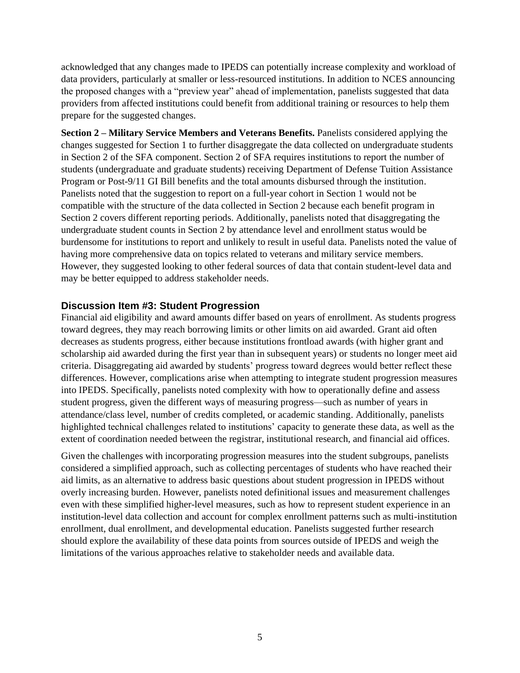acknowledged that any changes made to IPEDS can potentially increase complexity and workload of data providers, particularly at smaller or less-resourced institutions. In addition to NCES announcing the proposed changes with a "preview year" ahead of implementation, panelists suggested that data providers from affected institutions could benefit from additional training or resources to help them prepare for the suggested changes.

**Section 2 – Military Service Members and Veterans Benefits.** Panelists considered applying the changes suggested for Section 1 to further disaggregate the data collected on undergraduate students in Section 2 of the SFA component. Section 2 of SFA requires institutions to report the number of students (undergraduate and graduate students) receiving Department of Defense Tuition Assistance Program or Post-9/11 GI Bill benefits and the total amounts disbursed through the institution. Panelists noted that the suggestion to report on a full-year cohort in Section 1 would not be compatible with the structure of the data collected in Section 2 because each benefit program in Section 2 covers different reporting periods. Additionally, panelists noted that disaggregating the undergraduate student counts in Section 2 by attendance level and enrollment status would be burdensome for institutions to report and unlikely to result in useful data. Panelists noted the value of having more comprehensive data on topics related to veterans and military service members. However, they suggested looking to other federal sources of data that contain student-level data and may be better equipped to address stakeholder needs.

#### **Discussion Item #3: Student Progression**

Financial aid eligibility and award amounts differ based on years of enrollment. As students progress toward degrees, they may reach borrowing limits or other limits on aid awarded. Grant aid often decreases as students progress, either because institutions frontload awards (with higher grant and scholarship aid awarded during the first year than in subsequent years) or students no longer meet aid criteria. Disaggregating aid awarded by students' progress toward degrees would better reflect these differences. However, complications arise when attempting to integrate student progression measures into IPEDS. Specifically, panelists noted complexity with how to operationally define and assess student progress, given the different ways of measuring progress—such as number of years in attendance/class level, number of credits completed, or academic standing. Additionally, panelists highlighted technical challenges related to institutions' capacity to generate these data, as well as the extent of coordination needed between the registrar, institutional research, and financial aid offices.

Given the challenges with incorporating progression measures into the student subgroups, panelists considered a simplified approach, such as collecting percentages of students who have reached their aid limits, as an alternative to address basic questions about student progression in IPEDS without overly increasing burden. However, panelists noted definitional issues and measurement challenges even with these simplified higher-level measures, such as how to represent student experience in an institution-level data collection and account for complex enrollment patterns such as multi-institution enrollment, dual enrollment, and developmental education. Panelists suggested further research should explore the availability of these data points from sources outside of IPEDS and weigh the limitations of the various approaches relative to stakeholder needs and available data.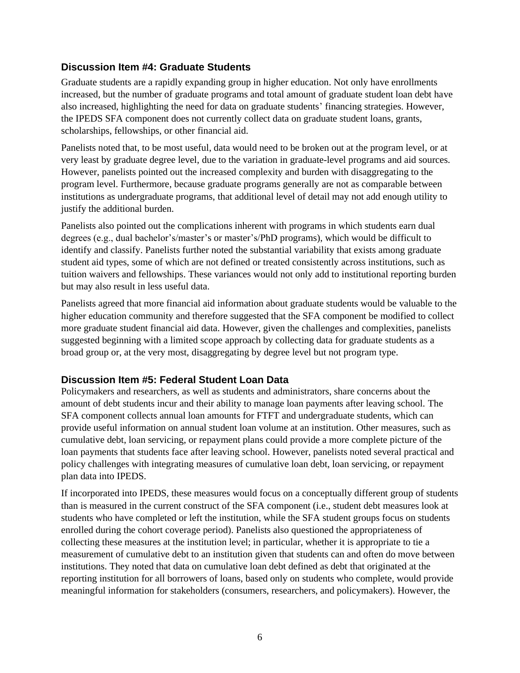### **Discussion Item #4: Graduate Students**

Graduate students are a rapidly expanding group in higher education. Not only have enrollments increased, but the number of graduate programs and total amount of graduate student loan debt have also increased, highlighting the need for data on graduate students' financing strategies. However, the IPEDS SFA component does not currently collect data on graduate student loans, grants, scholarships, fellowships, or other financial aid.

Panelists noted that, to be most useful, data would need to be broken out at the program level, or at very least by graduate degree level, due to the variation in graduate-level programs and aid sources. However, panelists pointed out the increased complexity and burden with disaggregating to the program level. Furthermore, because graduate programs generally are not as comparable between institutions as undergraduate programs, that additional level of detail may not add enough utility to justify the additional burden.

Panelists also pointed out the complications inherent with programs in which students earn dual degrees (e.g., dual bachelor's/master's or master's/PhD programs), which would be difficult to identify and classify. Panelists further noted the substantial variability that exists among graduate student aid types, some of which are not defined or treated consistently across institutions, such as tuition waivers and fellowships. These variances would not only add to institutional reporting burden but may also result in less useful data.

Panelists agreed that more financial aid information about graduate students would be valuable to the higher education community and therefore suggested that the SFA component be modified to collect more graduate student financial aid data. However, given the challenges and complexities, panelists suggested beginning with a limited scope approach by collecting data for graduate students as a broad group or, at the very most, disaggregating by degree level but not program type.

#### **Discussion Item #5: Federal Student Loan Data**

Policymakers and researchers, as well as students and administrators, share concerns about the amount of debt students incur and their ability to manage loan payments after leaving school. The SFA component collects annual loan amounts for FTFT and undergraduate students, which can provide useful information on annual student loan volume at an institution. Other measures, such as cumulative debt, loan servicing, or repayment plans could provide a more complete picture of the loan payments that students face after leaving school. However, panelists noted several practical and policy challenges with integrating measures of cumulative loan debt, loan servicing, or repayment plan data into IPEDS.

If incorporated into IPEDS, these measures would focus on a conceptually different group of students than is measured in the current construct of the SFA component (i.e., student debt measures look at students who have completed or left the institution, while the SFA student groups focus on students enrolled during the cohort coverage period). Panelists also questioned the appropriateness of collecting these measures at the institution level; in particular, whether it is appropriate to tie a measurement of cumulative debt to an institution given that students can and often do move between institutions. They noted that data on cumulative loan debt defined as debt that originated at the reporting institution for all borrowers of loans, based only on students who complete, would provide meaningful information for stakeholders (consumers, researchers, and policymakers). However, the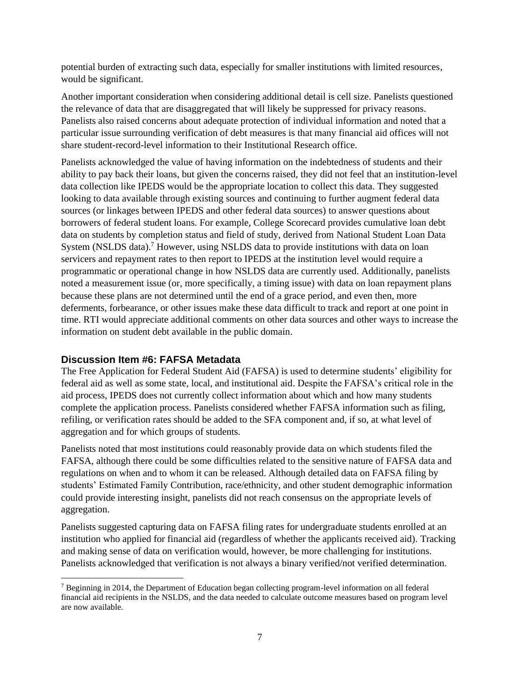potential burden of extracting such data, especially for smaller institutions with limited resources, would be significant.

Another important consideration when considering additional detail is cell size. Panelists questioned the relevance of data that are disaggregated that will likely be suppressed for privacy reasons. Panelists also raised concerns about adequate protection of individual information and noted that a particular issue surrounding verification of debt measures is that many financial aid offices will not share student-record-level information to their Institutional Research office.

Panelists acknowledged the value of having information on the indebtedness of students and their ability to pay back their loans, but given the concerns raised, they did not feel that an institution-level data collection like IPEDS would be the appropriate location to collect this data. They suggested looking to data available through existing sources and continuing to further augment federal data sources (or linkages between IPEDS and other federal data sources) to answer questions about borrowers of federal student loans. For example, College Scorecard provides cumulative loan debt data on students by completion status and field of study, derived from National Student Loan Data System (NSLDS data).<sup>7</sup> However, using NSLDS data to provide institutions with data on loan servicers and repayment rates to then report to IPEDS at the institution level would require a programmatic or operational change in how NSLDS data are currently used. Additionally, panelists noted a measurement issue (or, more specifically, a timing issue) with data on loan repayment plans because these plans are not determined until the end of a grace period, and even then, more deferments, forbearance, or other issues make these data difficult to track and report at one point in time. RTI would appreciate additional comments on other data sources and other ways to increase the information on student debt available in the public domain.

#### **Discussion Item #6: FAFSA Metadata**

The Free Application for Federal Student Aid (FAFSA) is used to determine students' eligibility for federal aid as well as some state, local, and institutional aid. Despite the FAFSA's critical role in the aid process, IPEDS does not currently collect information about which and how many students complete the application process. Panelists considered whether FAFSA information such as filing, refiling, or verification rates should be added to the SFA component and, if so, at what level of aggregation and for which groups of students.

Panelists noted that most institutions could reasonably provide data on which students filed the FAFSA, although there could be some difficulties related to the sensitive nature of FAFSA data and regulations on when and to whom it can be released. Although detailed data on FAFSA filing by students' Estimated Family Contribution, race/ethnicity, and other student demographic information could provide interesting insight, panelists did not reach consensus on the appropriate levels of aggregation.

Panelists suggested capturing data on FAFSA filing rates for undergraduate students enrolled at an institution who applied for financial aid (regardless of whether the applicants received aid). Tracking and making sense of data on verification would, however, be more challenging for institutions. Panelists acknowledged that verification is not always a binary verified/not verified determination.

<sup>7</sup> Beginning in 2014, the Department of Education began collecting program-level information on all federal financial aid recipients in the NSLDS, and the data needed to calculate outcome measures based on program level are now available.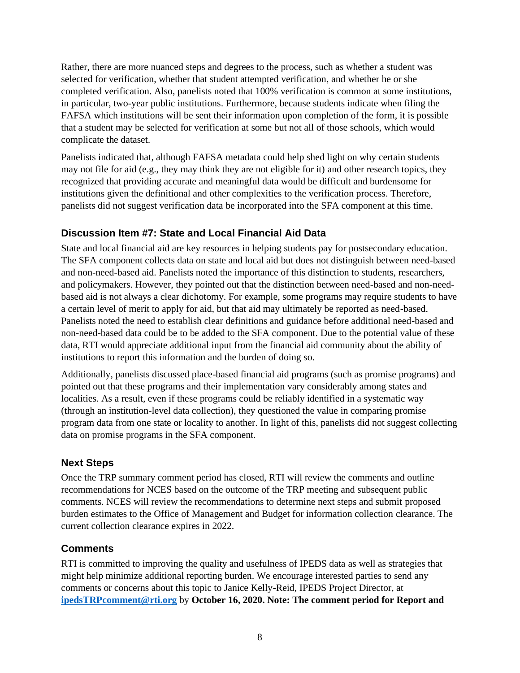Rather, there are more nuanced steps and degrees to the process, such as whether a student was selected for verification, whether that student attempted verification, and whether he or she completed verification. Also, panelists noted that 100% verification is common at some institutions, in particular, two-year public institutions. Furthermore, because students indicate when filing the FAFSA which institutions will be sent their information upon completion of the form, it is possible that a student may be selected for verification at some but not all of those schools, which would complicate the dataset.

Panelists indicated that, although FAFSA metadata could help shed light on why certain students may not file for aid (e.g., they may think they are not eligible for it) and other research topics, they recognized that providing accurate and meaningful data would be difficult and burdensome for institutions given the definitional and other complexities to the verification process. Therefore, panelists did not suggest verification data be incorporated into the SFA component at this time.

## **Discussion Item #7: State and Local Financial Aid Data**

State and local financial aid are key resources in helping students pay for postsecondary education. The SFA component collects data on state and local aid but does not distinguish between need-based and non-need-based aid. Panelists noted the importance of this distinction to students, researchers, and policymakers. However, they pointed out that the distinction between need-based and non-needbased aid is not always a clear dichotomy. For example, some programs may require students to have a certain level of merit to apply for aid, but that aid may ultimately be reported as need-based. Panelists noted the need to establish clear definitions and guidance before additional need-based and non-need-based data could be to be added to the SFA component. Due to the potential value of these data, RTI would appreciate additional input from the financial aid community about the ability of institutions to report this information and the burden of doing so.

Additionally, panelists discussed place-based financial aid programs (such as promise programs) and pointed out that these programs and their implementation vary considerably among states and localities. As a result, even if these programs could be reliably identified in a systematic way (through an institution-level data collection), they questioned the value in comparing promise program data from one state or locality to another. In light of this, panelists did not suggest collecting data on promise programs in the SFA component.

## **Next Steps**

Once the TRP summary comment period has closed, RTI will review the comments and outline recommendations for NCES based on the outcome of the TRP meeting and subsequent public comments. NCES will review the recommendations to determine next steps and submit proposed burden estimates to the Office of Management and Budget for information collection clearance. The current collection clearance expires in 2022.

## **Comments**

RTI is committed to improving the quality and usefulness of IPEDS data as well as strategies that might help minimize additional reporting burden. We encourage interested parties to send any comments or concerns about this topic to Janice Kelly-Reid, IPEDS Project Director, at **[ipedsTRPcomment@rti.org](mailto:ipedsTRPcomment@rti.org)** by **October 16, 2020. Note: The comment period for Report and**